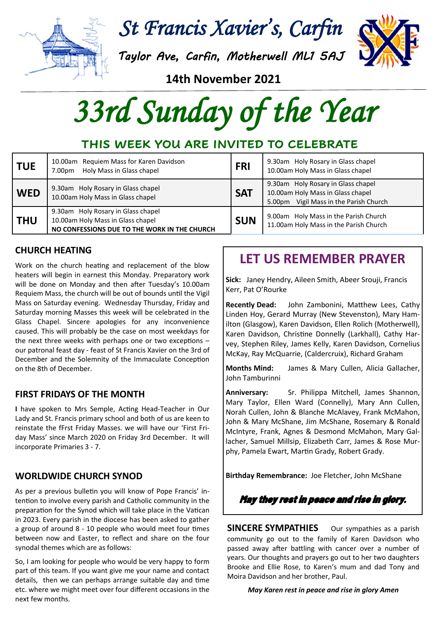

*St Francis Xavier's, Carfin* 

*Taylor Ave, Carfin, Motherwell ML1 5AJ*



**14th November 2021**

*33rd Sunday of the Year* 

# **THIS WEEK YOU ARE INVITED TO CELEBRATE**

| <b>TUE</b> | 10.00am Requiem Mass for Karen Davidson<br>Holy Mass in Glass chapel<br>7.00pm                                          | <b>FRI</b> | 9.30am Holy Rosary in Glass chapel<br>10.00am Holy Mass in Glass chapel                                              |
|------------|-------------------------------------------------------------------------------------------------------------------------|------------|----------------------------------------------------------------------------------------------------------------------|
| <b>WED</b> | 9.30am Holy Rosary in Glass chapel<br>10.00am Holy Mass in Glass chapel                                                 | <b>SAT</b> | 9.30am Holy Rosary in Glass chapel<br>10.00am Holy Mass in Glass chapel<br>Vigil Mass in the Parish Church<br>5.00pm |
| <b>THU</b> | 9.30am Holy Rosary in Glass chapel<br>10.00am Holy Mass in Glass chapel<br>NO CONFESSIONS DUE TO THE WORK IN THE CHURCH | <b>SUN</b> | 9.00am Holy Mass in the Parish Church<br>11.00am Holy Mass in the Parish Church                                      |

### **CHURCH HEATING**

Work on the church heating and replacement of the blow heaters will begin in earnest this Monday. Preparatory work will be done on Monday and then after Tuesday's 10.00am Requiem Mass, the church will be out of bounds until the Vigil Mass on Saturday evening. Wednesday Thursday, Friday and Saturday morning Masses this week will be celebrated in the Glass Chapel. Sincere apologies for any inconvenience caused. This will probably be the case on most weekdays for the next three weeks with perhaps one or two exceptions – our patronal feast day - feast of St Francis Xavier on the 3rd of December and the Solemnity of the Immaculate Conception on the 8th of December.

### **FIRST FRIDAYS OF THE MONTH**

**I** have spoken to Mrs Semple, Acting Head-Teacher in Our Lady and St. Francis primary school and both of us are keen to reinstate the fFrst Friday Masses. we will have our 'First Friday Mass' since March 2020 on Friday 3rd December. It will incorporate Primaries 3 - 7.

### **WORLDWIDE CHURCH SYNOD**

As per a previous bulletin you will know of Pope Francis' intention to involve every parish and Catholic community in the preparation for the Synod which will take place in the Vatican in 2023. Every parish in the diocese has been asked to gather a group of around 8 - 10 people who would meet four times between now and Easter, to reflect and share on the four synodal themes which are as follows:

So, I am looking for people who would be very happy to form part of this team. If you want give me your name and contact details, then we can perhaps arrange suitable day and time etc. where we might meet over four different occasions in the next few months.

# **LET US REMEMBER PRAYER**

**Sick:** Janey Hendry, Aileen Smith, Abeer Srouji, Francis Kerr, Pat O'Rourke

**Recently Dead:** John Zambonini, Matthew Lees, Cathy Linden Hoy, Gerard Murray (New Stevenston), Mary Hamilton (Glasgow), Karen Davidson, Ellen Rolich (Motherwell), Karen Davidson, Christine Donnelly (Larkhall), Cathy Harvey, Stephen Riley, James Kelly, Karen Davidson, Cornelius McKay, Ray McQuarrie, (Caldercruix), Richard Graham

**Months Mind:** James & Mary Cullen, Alicia Gallacher, John Tamburinni

**Anniversary:** Sr. Philippa Mitchell, James Shannon, Mary Taylor, Ellen Ward (Connelly), Mary Ann Cullen, Norah Cullen, John & Blanche McAlavey, Frank McMahon, John & Mary McShane, Jim McShane, Rosemary & Ronald McIntyre, Frank, Agnes & Desmond McMahon, Mary Gallacher, Samuel Millsip, Elizabeth Carr, James & Rose Murphy, Pamela Ewart, Martin Grady, Robert Grady.

**Birthday Remembrance:** Joe Fletcher, John McShane

May they rest in peace and rise in glory.

**SINCERE SYMPATHIES** Our sympathies as a parish community go out to the family of Karen Davidson who passed away after battling with cancer over a number of years. Our thoughts and prayers go out to her two daughters Brooke and Ellie Rose, to Karen's mum and dad Tony and Moira Davidson and her brother, Paul.

#### *May Karen rest in peace and rise in glory Amen*